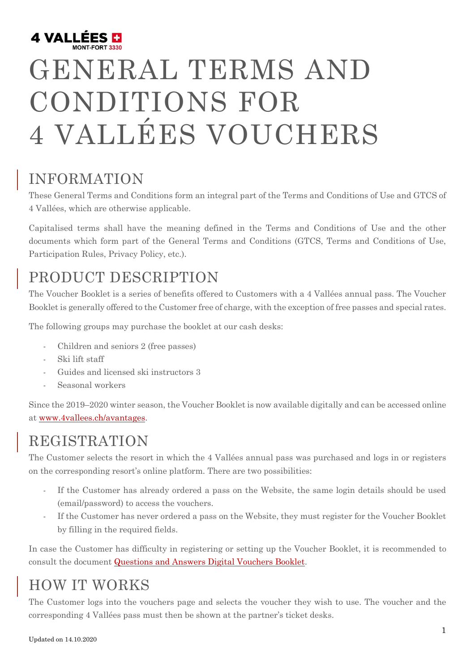

# GENERAL TERMS AND CONDITIONS FOR 4 VALLÉES VOUCHERS

#### INFORMATION

These General Terms and Conditions form an integral part of the Terms and Conditions of Use and GTCS of 4 Vallées, which are otherwise applicable.

Capitalised terms shall have the meaning defined in the Terms and Conditions of Use and the other documents which form part of the General Terms and Conditions (GTCS, Terms and Conditions of Use, Participation Rules, Privacy Policy, etc.).

## PRODUCT DESCRIPTION

The Voucher Booklet is a series of benefits offered to Customers with a 4 Vallées annual pass. The Voucher Booklet is generally offered to the Customer free of charge, with the exception of free passes and special rates.

The following groups may purchase the booklet at our cash desks:

- Children and seniors 2 (free passes)
- Ski lift staff
- Guides and licensed ski instructors 3
- Seasonal workers

Since the 2019–2020 winter season, the Voucher Booklet is now available digitally and can be accessed online at [www.4vallees.ch/avantages.](https://verbier4vallees.ch/en/online-shop/advantage-booklet)

#### REGISTRATION

The Customer selects the resort in which the 4 Vallées annual pass was purchased and logs in or registers on the corresponding resort's online platform. There are two possibilities:

- If the Customer has already ordered a pass on the Website, the same login details should be used (email/password) to access the vouchers.
- If the Customer has never ordered a pass on the Website, they must register for the Voucher Booklet by filling in the required fields.

In case the Customer has difficulty in registering or setting up the Voucher Booklet, it is recommended to consult the document [Questions and Answers Digital Vouchers Booklet.](https://verbier4vallees.ch/V4V-Website/Documents/conditions_carnet_avantages/Q_A_carnet_digital_EN.pdf)

#### HOW IT WORKS

The Customer logs into the vouchers page and selects the voucher they wish to use. The voucher and the corresponding 4 Vallées pass must then be shown at the partner's ticket desks.